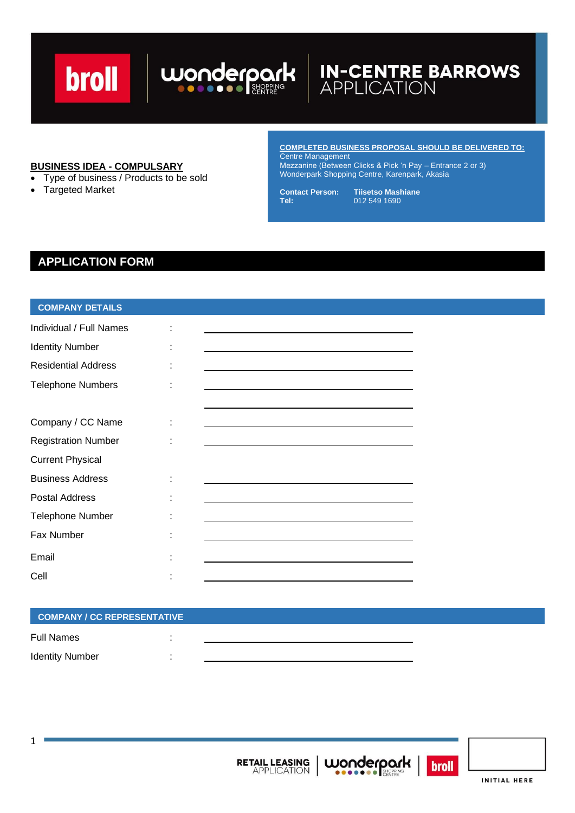## broll

# **IN-CENTRE BARROWS**<br>APPLICATION

#### **BUSINESS IDEA - COMPULSARY**

- Type of business / Products to be sold
- Targeted Market

**COMPLETED BUSINESS PROPOSAL SHOULD BE DELIVERED TO:** Centre Management Mezzanine (Between Clicks & Pick 'n Pay – Entrance 2 or 3)

**Contact Person: Tiisetso Mashiane Tel:** 012 549 1690

Wonderpark Shopping Centre, Karenpark, Akasia

### **APPLICATION FORM**

#### **COMPANY DETAILS**

| Individual / Full Names    | <u> 1980 - Johann Barbara, martxa alemaniar amerikan a</u>                                                                                                                                                                    |
|----------------------------|-------------------------------------------------------------------------------------------------------------------------------------------------------------------------------------------------------------------------------|
| <b>Identity Number</b>     |                                                                                                                                                                                                                               |
| <b>Residential Address</b> | the control of the control of the control of the control of the control of the control of the control of the control of the control of the control of the control of the control of the control of the control of the control |
| <b>Telephone Numbers</b>   | <u> 1989 - Johann Stoff, deutscher Stoffen und der Stoffen und der Stoffen und der Stoffen und der Stoffen und der</u>                                                                                                        |
|                            |                                                                                                                                                                                                                               |
| Company / CC Name          |                                                                                                                                                                                                                               |
| <b>Registration Number</b> | <u> 1980 - Johann Stein, marwolaethau (b. 1980)</u>                                                                                                                                                                           |
| <b>Current Physical</b>    |                                                                                                                                                                                                                               |
| <b>Business Address</b>    | the control of the control of the control of the control of the control of the control of the control of the control of the control of the control of the control of the control of the control of the control of the control |
| <b>Postal Address</b>      | <u> 1989 - Johann Barn, amerikan besteman besteman besteman besteman besteman besteman besteman besteman bestema</u>                                                                                                          |
| <b>Telephone Number</b>    |                                                                                                                                                                                                                               |
| <b>Fax Number</b>          |                                                                                                                                                                                                                               |
| Email                      |                                                                                                                                                                                                                               |
| Cell                       |                                                                                                                                                                                                                               |

wonderpark

#### **COMPANY / CC REPRESENTATIVE**

| Full Names             |  |
|------------------------|--|
| <b>Identity Number</b> |  |





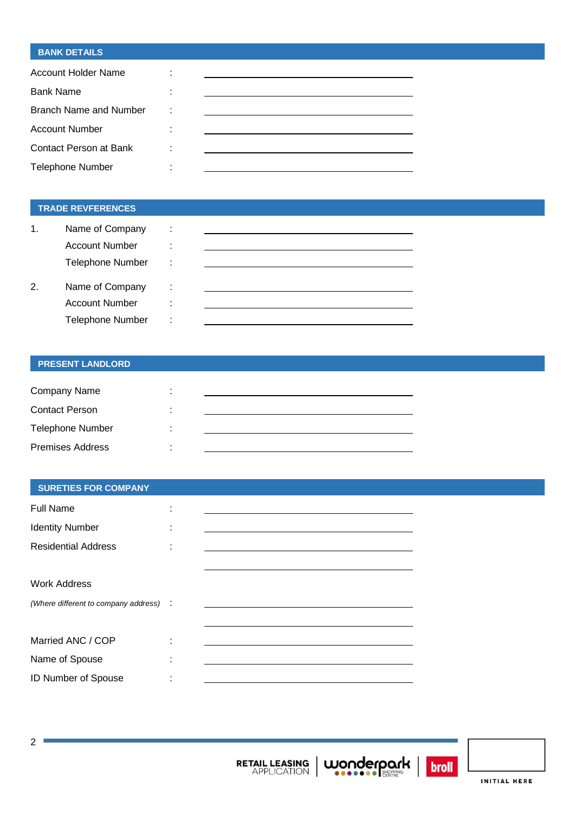#### **BANK DETAILS**

| Account Holder Name           | ٠      |  |
|-------------------------------|--------|--|
| <b>Bank Name</b>              |        |  |
| <b>Branch Name and Number</b> | ÷      |  |
| <b>Account Number</b>         | ٠      |  |
| Contact Person at Bank        | ٠      |  |
| <b>Telephone Number</b>       | ٠<br>٠ |  |

#### **TRADE REVFERENCES**

| 1. | Name of Company         | ٠<br>ä,           |  |
|----|-------------------------|-------------------|--|
|    | <b>Account Number</b>   | ٠                 |  |
|    | <b>Telephone Number</b> | ٠<br>$\mathbf{r}$ |  |
|    |                         |                   |  |
| 2. | Name of Company         | ÷                 |  |
|    | <b>Account Number</b>   | ٠<br>۰            |  |
|    | <b>Telephone Number</b> | ٠<br>۰            |  |

#### **PRESENT LANDLORD**

| Company Name            |  |
|-------------------------|--|
| <b>Contact Person</b>   |  |
| <b>Telephone Number</b> |  |
| <b>Premises Address</b> |  |

#### **SURETIES FOR COMPANY**

| <b>Full Name</b>                       |  |
|----------------------------------------|--|
| <b>Identity Number</b>                 |  |
| <b>Residential Address</b>             |  |
|                                        |  |
| <b>Work Address</b>                    |  |
| (Where different to company address) : |  |
|                                        |  |
| Married ANC / COP                      |  |
| Name of Spouse                         |  |
| <b>ID Number of Spouse</b>             |  |





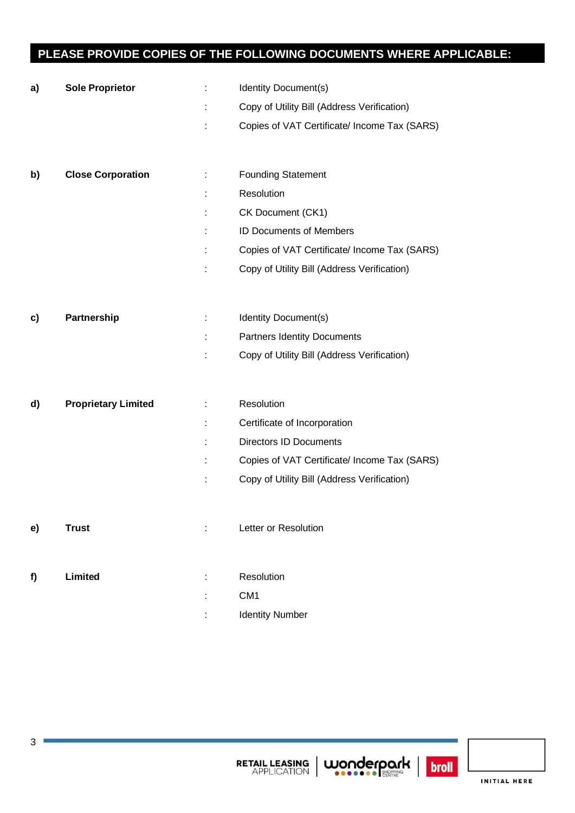## **PLEASE PROVIDE COPIES OF THE FOLLOWING DOCUMENTS WHERE APPLICABLE:**

| a) | <b>Sole Proprietor</b>     | ÷  | Identity Document(s)                                          |
|----|----------------------------|----|---------------------------------------------------------------|
|    |                            | ÷  | Copy of Utility Bill (Address Verification)                   |
|    |                            |    | Copies of VAT Certificate/ Income Tax (SARS)                  |
|    |                            |    |                                                               |
|    | <b>Close Corporation</b>   | ÷. |                                                               |
| b) |                            |    | <b>Founding Statement</b><br>Resolution                       |
|    |                            |    |                                                               |
|    |                            | t. | CK Document (CK1)                                             |
|    |                            |    | <b>ID Documents of Members</b>                                |
|    |                            |    | Copies of VAT Certificate/ Income Tax (SARS)                  |
|    |                            |    | Copy of Utility Bill (Address Verification)                   |
|    |                            |    |                                                               |
| c) | <b>Partnership</b>         | ÷  | Identity Document(s)                                          |
|    |                            |    | <b>Partners Identity Documents</b>                            |
|    |                            |    | Copy of Utility Bill (Address Verification)                   |
|    |                            |    |                                                               |
| d) | <b>Proprietary Limited</b> | ÷  | Resolution                                                    |
|    |                            |    |                                                               |
|    |                            | t. |                                                               |
|    |                            |    | Certificate of Incorporation<br><b>Directors ID Documents</b> |
|    |                            | t  | Copies of VAT Certificate/ Income Tax (SARS)                  |
|    |                            | t  | Copy of Utility Bill (Address Verification)                   |
|    |                            |    |                                                               |
|    |                            |    |                                                               |
| e) | <b>Trust</b>               |    | Letter or Resolution                                          |
|    |                            |    |                                                               |
| f) | Limited                    |    | Resolution                                                    |
|    |                            |    | CM <sub>1</sub>                                               |





 $\mathbb{R}$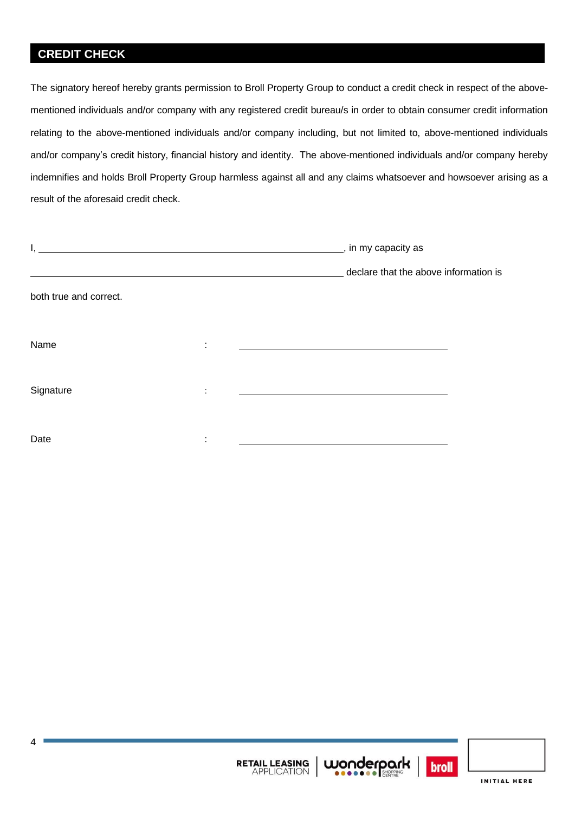## **CREDIT CHECK**

The signatory hereof hereby grants permission to Broll Property Group to conduct a credit check in respect of the abovementioned individuals and/or company with any registered credit bureau/s in order to obtain consumer credit information relating to the above-mentioned individuals and/or company including, but not limited to, above-mentioned individuals and/or company's credit history, financial history and identity. The above-mentioned individuals and/or company hereby indemnifies and holds Broll Property Group harmless against all and any claims whatsoever and howsoever arising as a result of the aforesaid credit check.

|                        | _, in my capacity as |                                                             |
|------------------------|----------------------|-------------------------------------------------------------|
|                        |                      | declare that the above information is                       |
| both true and correct. |                      |                                                             |
|                        |                      |                                                             |
| Name                   | ٠                    | <u> 1989 - Johann Stoff, Amerikaansk politiker († 1908)</u> |
|                        |                      |                                                             |
| Signature              | ٠                    |                                                             |
|                        |                      |                                                             |
| Date                   |                      |                                                             |